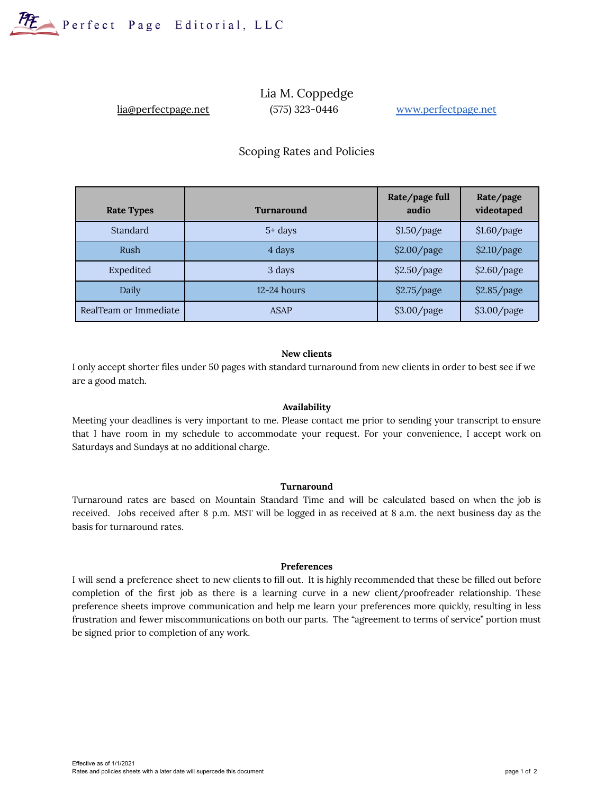

# Lia M. Coppedge lia@perfectpage.net (575) 323-0446 [www.perfectpage.net](http://www.perfectpage.net)

# Scoping Rates and Policies

| <b>Rate Types</b>     | <b>Turnaround</b> | Rate/page full<br>audio | Rate/page<br>videotaped |
|-----------------------|-------------------|-------------------------|-------------------------|
| Standard              | $5+ days$         | \$1.50/page             | \$1.60/page             |
| Rush                  | 4 days            | \$2.00/page             | \$2.10/page             |
| Expedited             | 3 days            | \$2.50/page             | \$2.60/page             |
| Daily                 | $12 - 24$ hours   | \$2.75/page             | \$2.85/page             |
| RealTeam or Immediate | <b>ASAP</b>       | \$3.00/page             | \$3.00/page             |

### **New clients**

I only accept shorter files under 50 pages with standard turnaround from new clients in order to best see if we are a good match.

#### **Availability**

Meeting your deadlines is very important to me. Please contact me prior to sending your transcript to ensure that I have room in my schedule to accommodate your request. For your convenience, I accept work on Saturdays and Sundays at no additional charge.

#### **Turnaround**

Turnaround rates are based on Mountain Standard Time and will be calculated based on when the job is received. Jobs received after 8 p.m. MST will be logged in as received at 8 a.m. the next business day as the basis for turnaround rates.

#### **Preferences**

I will send a preference sheet to new clients to fill out. It is highly recommended that these be filled out before completion of the first job as there is a learning curve in a new client/proofreader relationship. These preference sheets improve communication and help me learn your preferences more quickly, resulting in less frustration and fewer miscommunications on both our parts. The "agreement to terms of service" portion must be signed prior to completion of any work.